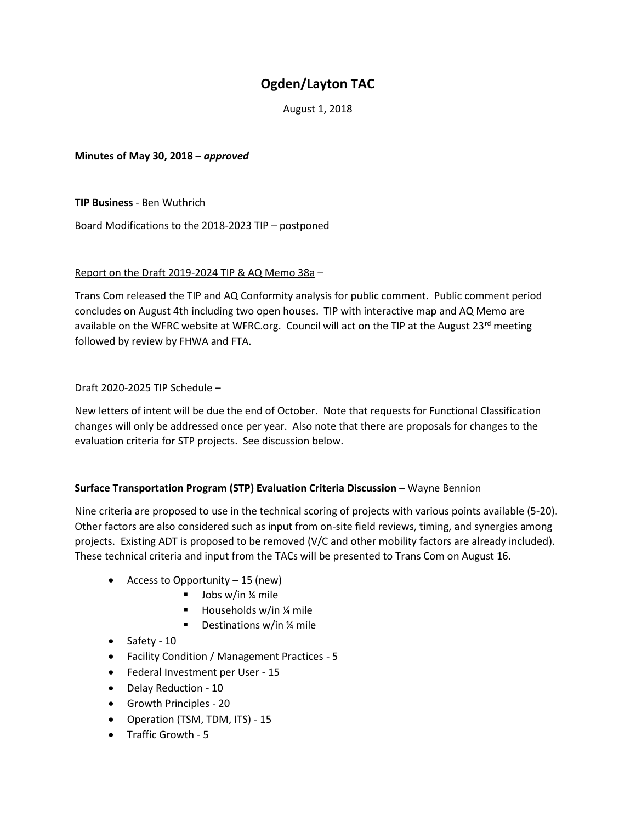# **Ogden/Layton TAC**

August 1, 2018

**Minutes of May 30, 2018** – *approved*

**TIP Business** - Ben Wuthrich

Board Modifications to the 2018-2023 TIP – postponed

#### Report on the Draft 2019-2024 TIP & AQ Memo 38a –

Trans Com released the TIP and AQ Conformity analysis for public comment. Public comment period concludes on August 4th including two open houses. TIP with interactive map and AQ Memo are available on the WFRC website at WFRC.org. Council will act on the TIP at the August 23<sup>rd</sup> meeting followed by review by FHWA and FTA.

### Draft 2020-2025 TIP Schedule –

New letters of intent will be due the end of October. Note that requests for Functional Classification changes will only be addressed once per year. Also note that there are proposals for changes to the evaluation criteria for STP projects. See discussion below.

## **Surface Transportation Program (STP) Evaluation Criteria Discussion** – Wayne Bennion

Nine criteria are proposed to use in the technical scoring of projects with various points available (5-20). Other factors are also considered such as input from on-site field reviews, timing, and synergies among projects. Existing ADT is proposed to be removed (V/C and other mobility factors are already included). These technical criteria and input from the TACs will be presented to Trans Com on August 16.

- Access to Opportunity  $-15$  (new)
	- $\blacksquare$  Jobs w/in ¼ mile
	- Households w/in  $\frac{1}{4}$  mile
	- Destinations w/in ¼ mile
- Safety 10
- Facility Condition / Management Practices 5
- Federal Investment per User 15
- Delay Reduction 10
- Growth Principles 20
- Operation (TSM, TDM, ITS) 15
- Traffic Growth 5